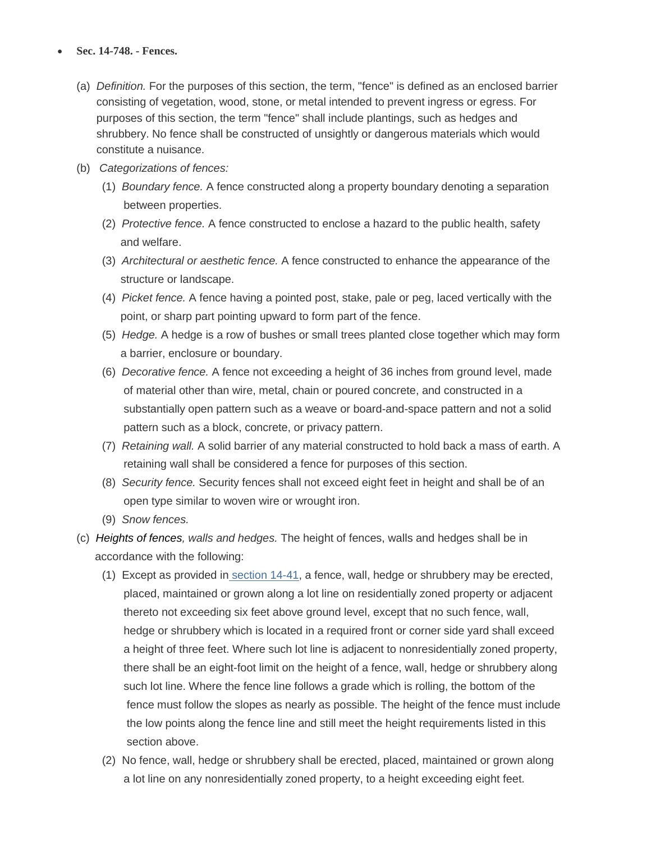## **Sec. 14-748. - Fences.**

- (a) *Definition.* For the purposes of this section, the term, "fence" is defined as an enclosed barrier consisting of vegetation, wood, stone, or metal intended to prevent ingress or egress. For purposes of this section, the term "fence" shall include plantings, such as hedges and shrubbery. No fence shall be constructed of unsightly or dangerous materials which would constitute a nuisance.
- (b) *Categorizations of fences:*
	- (1) *Boundary fence.* A fence constructed along a property boundary denoting a separation between properties.
	- (2) *Protective fence.* A fence constructed to enclose a hazard to the public health, safety and welfare.
	- (3) *Architectural or aesthetic fence.* A fence constructed to enhance the appearance of the structure or landscape.
	- (4) *Picket fence.* A fence having a pointed post, stake, pale or peg, laced vertically with the point, or sharp part pointing upward to form part of the fence.
	- (5) *Hedge.* A hedge is a row of bushes or small trees planted close together which may form a barrier, enclosure or boundary.
	- (6) *Decorative fence.* A fence not exceeding a height of 36 inches from ground level, made of material other than wire, metal, chain or poured concrete, and constructed in a substantially open pattern such as a weave or board-and-space pattern and not a solid pattern such as a block, concrete, or privacy pattern.
	- (7) *Retaining wall.* A solid barrier of any material constructed to hold back a mass of earth. A retaining wall shall be considered a fence for purposes of this section.
	- (8) *Security fence.* Security fences shall not exceed eight feet in height and shall be of an open type similar to woven wire or wrought iron.
	- (9) *Snow fences.*
- (c) *Heights of fences, walls and hedges.* The height of fences, walls and hedges shall be in accordance with the following:
	- (1) Except as provided in [section 14-41,](https://www.municode.com/library/wi/antigo/codes/code_of_ordinances?nodeId=COOR_CH14LAUSRE_ARTIIZO_DIV1GE_S14-41BURE) a fence, wall, hedge or shrubbery may be erected, placed, maintained or grown along a lot line on residentially zoned property or adjacent thereto not exceeding six feet above ground level, except that no such fence, wall, hedge or shrubbery which is located in a required front or corner side yard shall exceed a height of three feet. Where such lot line is adjacent to nonresidentially zoned property, there shall be an eight-foot limit on the height of a fence, wall, hedge or shrubbery along such lot line. Where the fence line follows a grade which is rolling, the bottom of the fence must follow the slopes as nearly as possible. The height of the fence must include the low points along the fence line and still meet the height requirements listed in this section above.
	- (2) No fence, wall, hedge or shrubbery shall be erected, placed, maintained or grown along a lot line on any nonresidentially zoned property, to a height exceeding eight feet.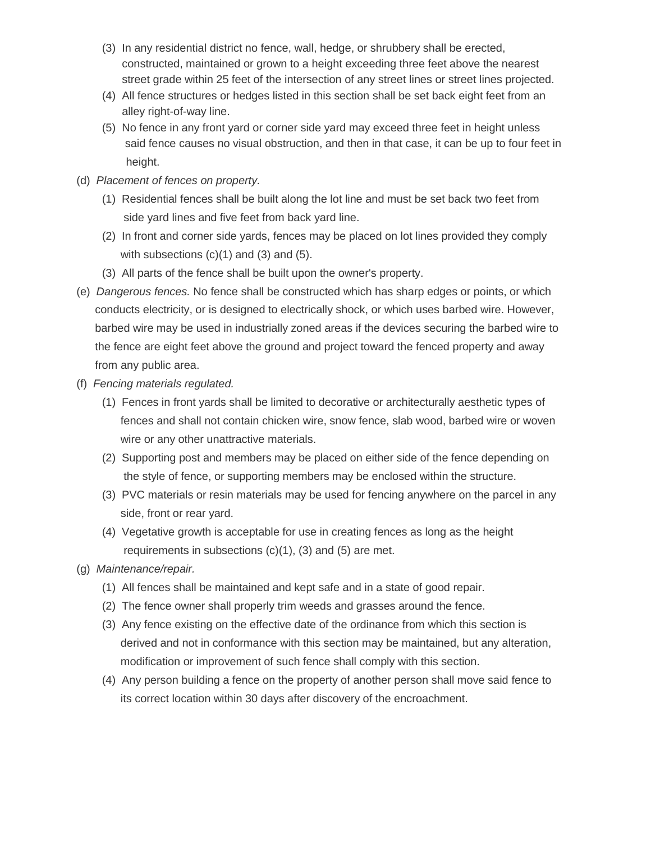- (3) In any residential district no fence, wall, hedge, or shrubbery shall be erected, constructed, maintained or grown to a height exceeding three feet above the nearest street grade within 25 feet of the intersection of any street lines or street lines projected.
- (4) All fence structures or hedges listed in this section shall be set back eight feet from an alley right-of-way line.
- (5) No fence in any front yard or corner side yard may exceed three feet in height unless said fence causes no visual obstruction, and then in that case, it can be up to four feet in height.
- (d) *Placement of fences on property.*
	- (1) Residential fences shall be built along the lot line and must be set back two feet from side yard lines and five feet from back yard line.
	- (2) In front and corner side yards, fences may be placed on lot lines provided they comply with subsections  $(c)(1)$  and  $(3)$  and  $(5)$ .
	- (3) All parts of the fence shall be built upon the owner's property.
- (e) *Dangerous fences.* No fence shall be constructed which has sharp edges or points, or which conducts electricity, or is designed to electrically shock, or which uses barbed wire. However, barbed wire may be used in industrially zoned areas if the devices securing the barbed wire to the fence are eight feet above the ground and project toward the fenced property and away from any public area.
- (f) *Fencing materials regulated.*
	- (1) Fences in front yards shall be limited to decorative or architecturally aesthetic types of fences and shall not contain chicken wire, snow fence, slab wood, barbed wire or woven wire or any other unattractive materials.
	- (2) Supporting post and members may be placed on either side of the fence depending on the style of fence, or supporting members may be enclosed within the structure.
	- (3) PVC materials or resin materials may be used for fencing anywhere on the parcel in any side, front or rear yard.
	- (4) Vegetative growth is acceptable for use in creating fences as long as the height requirements in subsections (c)(1), (3) and (5) are met.
- (g) *Maintenance/repair.*
	- (1) All fences shall be maintained and kept safe and in a state of good repair.
	- (2) The fence owner shall properly trim weeds and grasses around the fence.
	- (3) Any fence existing on the effective date of the ordinance from which this section is derived and not in conformance with this section may be maintained, but any alteration, modification or improvement of such fence shall comply with this section.
	- (4) Any person building a fence on the property of another person shall move said fence to its correct location within 30 days after discovery of the encroachment.